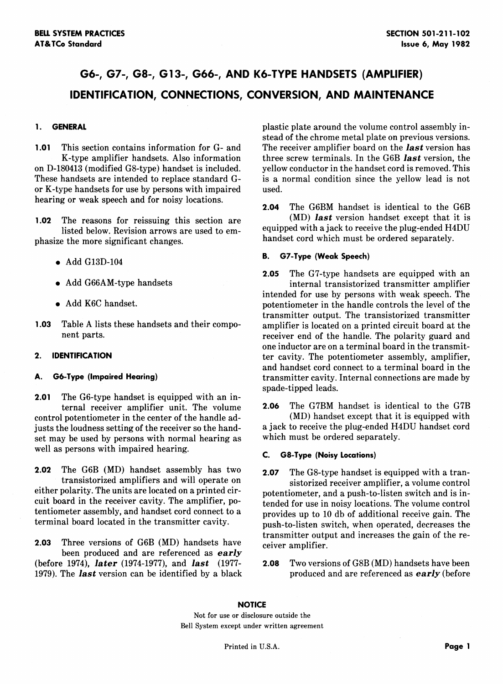## G6-, G7-, G8-, G13-, G66-, AND K6-T**YPE HANDSE**T**S (AMPLIFI**E**R) ID**E**N**T**IFICATION, CONN**E**CTIONS, CONV**E**RSION, AND MAINT**E**NANC**E

on D-180413 (modified G8-type) handset is included. yellow conductor in the handset cord is removed. This These handsets are intended to replace standard G- is a normal condition since the yellow lead is not These handsets are intended to replace standard Gor K**-**type handsets for use by persons with impaired used. hearing or weak speech and for noisy locations.

listed below. Revision arrows are used to em-<br>handset cord which must be ordered separately. phasize the more significant changes.

- 
- 
- 
- 

**2**.**01** The G6-type handset is equipped with an incontrol potentiometer in the center of the handle ad-<br>insts the londness setting of the receiver so the hand-<br>a jack to receive the plug-ended H4DU handset cord justs the loudness setting of the receiver so the hand-<br>set may be used by persons with normal hearing as which must be ordered separately. set may be used by persons with normal hearing as well as persons with impaired hearing.

**2.02** The G6B (MD) handset assembly has two **2.07** The G8-type handset is equipped with a tran-<br>transistorized amplifiers and will operate on sisterized receiver amplifier a volume control transistorized amplifiers and will operate on sistorized receiver amplifier*,* a volume control either polarity. The units are located on a printed cir-<br>cuit board in the receiver cavity. The amplifier, po-<br>tended for use in poisy locations. The volume control cuit board in the receiver cavity. The amplifier, po-<br>tended for use in noisy locations. The volume control tentioned tentioned receive gain. The tentiometer assembly, and handset cord connect to a provides up to 10 db of additional receive gain. The terminal board located in the transmitter cavity.

**2.03** Three versions of G6B (MD) handsets have ceiver amplifier. (before 1974)*, l*a*t*er (1974**-**1977)*,* and *l*a**s***t* (1977**-** 2.**08** Two versions of G8B (MD) handsets have been 1979). The *last* version can be identified by a black

**1. GENERAL plastic** plastic plate around the volume control assembly instead of the chrome metal plate on previous versions. **1.01** This section contains information for G- and The receiver amplifier board on the *last* version has K-type amplifier handsets. Also information three screw terminals. In the G6B *last* version, the three screw terminals. In the G6B *last* version, the yellow conductor in the handset cord is removed. This

**2**.**04** The G6BM handset is identical to the G6B **1.02** The reasons for reissuing this section are (MD) **last** version handset except that it is listed helow Beyision arrows are used to em. equipped with a jack to receive the plug-ended H4DU

## • Add G13D**-**104 **B**. **G7-**T**yp**e (**Weak Speech)**

**2**.**05** The G7-type handsets are equipped with an • Add G66AM-type handsets internal transistorized transmitter amplifier intended for use by persons with weak speech. The • Add K6C handset. The handle controls the level of the handle controls the level of the transmitter output. The transistorized transmitter **1.03** Table A lists these handsets and their compo-<br>net parts.<br>receiver end of the handle. The polarity guard and receiver end of the handle. The polarity guard and one inductor are on a terminal board in the transmit-**2**. **ID**E**N**T**IFICATION** ter cavity. The potentiometer assembly*,* amplifier*,* and handset cord connect to a terminal board in the **A. G6-**T**ype** (**Impaired Hearing)** transmitter cavity. Internal connections are made by spade-tipped leads.

ternal receiver amplifier unit. The volume **2**.**06** The G7BM handset is identical to the G7B

### well as persons with impaired hearing. **C**. **G8-**T**ype** (**NoisyLocations)**

push-to-listen switch, when operated, decreases the transmitter output and increases the gain of the re-

### **NO**T**IC**E

Not for use or disclosure outside the Bell System except under written agreement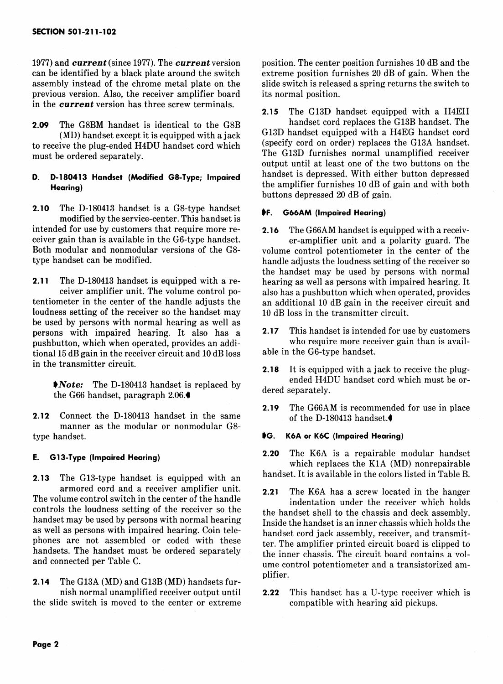1977) and *current* (since 1977). The *current* version position. The center position furnishes 10 dB and the can be identified by a black plate around the switch extreme position furnishes 20 dB of gain. When the can be identified by a black plate around the switch extreme position furnishes 20 dB of gain. When the assembly instead of the chrome metal plate on the slide switch is released a spring returns the switch to assembly instead of the chrome metal plate on the previous version. Also, the receiver amplifier board its normal position. in t**h**e *cu***rr***ent* vers**i**on has three screw terminals.

2.09 The G8BM handset is identical to the G8B<br>(MD) handset cord replaces the G13B handset. The<br>(MD) handset cord is comined with a seck and G13D handset equipped with a H4EG handset cord to receive the plug-ended H4DU handset cord which (specify cord on order) replaces the G13A handset.<br>The G13D furnishes normal unamplified receiver must be ordered separately.

# **D. D-180413 Handset** (Modified G8-Type; Impaired.<br>Hearing)

**2.100413 handset is** a G8-type handset **IF. G66AM** (Impaired Hearing) modified by the service-center. This handset is intended for use by customers that require more re- 2.**16** The G66AM handset is equipped with a receivceiver gain than is available in the G6-type handset.<br>
Both modular and nonmodular versions of the G8-<br>
volume control potentiometer in the center of the Both modular and nonmodular versions of the G8-<br>type handset can be modified.<br>handle adjusts the loudness setting of the receiver so

**2.11** The D-180413 handset is equipped with a re-<br>ceiver amplifier unit. The volume control po-<br>also has a pushbutton which when operated, provides ceiver amplifier unit. The volume control po-<br>tentiometer in the center of the handle adjusts the loudness setting of the receiver so the handset may be used by persons with normal hearing as well as persons with impaired hearing. It also has a **2.17** This handset is intended for use by customers pushbutton which when operated provides an addi-<br>pushbutton which when operated provides an addipushbutton, which when operated, provides an addi-<br>tional 15 dB gain in the receiver circuit and 10 dB loss able in the G6-type handset. tional 15 dB gain in the receiver circuit and  $10$  dB loss in the transmitter circuit.

the G66 handset, paragraph 2.06.<sup>4</sup><sup>1</sup> dered separate

**2.12** Connect the D-180413 handset in the same manner as the modular or nonmodular G8 type handset. S**G. K6A or K6C** (**Impaired Hearing)**

**2.13** The G13-type handset is equipped with an armored cord and a receiver amplifier unit.<br> **2.21** The K6A has a screw located in the hanger<br> **2.21** The K6A has a screw located in the hanger<br> **2.21** The K6A has a screw located in the hanger The volume control switch in the center of the handle<br>controls the loudness setting of the receiver so the the handset shell to the chassis and deck assembly controls the loudness setting of the receiver so the the handset shell to the chassis and deck assembly.<br>
handset may be used by persons with normal hearing resides the handset is an inner chassis which halds the handset may be used by persons with normal hearing Inside the handset is an inner chassis which holds the as well as persons with impaired hearing. Coin tele-<br>Annotate cord is a segment of resource in the seamed we are the as well as persons with impaired hearing. Coin tele-<br>phones are not assembled or coded with these the Theomplifier printed eigenit board is elimed to phones are not assembled or coded with these ter. The amplifier printed circuit board is clipped to handset must be ordered separately handsets. The handset must be ordered separately the inner chassis. The circuit board contains a voland connected per Table C.

2.1**4** The G13A (MD) and G13B (MD) handsets furthe slide switch is moved to the center or extreme compatible with hearing aid pickups.

2.**15** The G13D handset equ**i**pped with a H4EH (MD) handset except it is equipped with a jack G13D handset equipped with a H4EG handset cord<br>ive the plug ended H4DU handset cord which (specify cord on order) replaces the G13A handset. output until at least one of the two buttons on the the amplifier furnishes 10 dB of gain and with both buttons depressed 20 dB of gain.

handle adjusts the loudness setting of the receiver so the handset may be used by persons with normal an additional 10 dB gain in the receiver circuit and  $10$  dB loss in the transmitter circuit.

**2.18** It is equipped with a jack to receive the plugended H4DU handset cord which must be or-

**2.19** The G66AM is recommended for use in place<br>of the D-180413 handset.

E**. G13-T**y**pe** (**impaired Hearing) 2.20** The K6A is a repairable modular handset which replaces the K1A (MD) nonrepairable<br>handset. It is available in the colors listed in Table B.

- ume control potentiometer and a transistorized amplifier.
- 2.22 This handset has a U-type receiver which is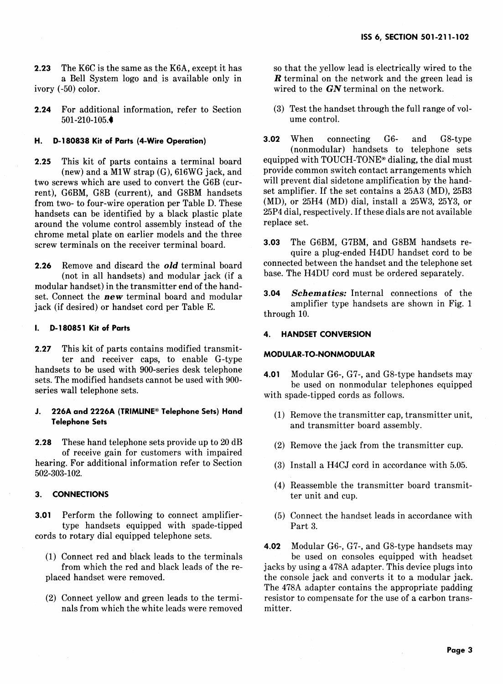2.23 The K6C is the same as the K6A, except it has so that the yellow lead is electrically wired to the a Bell System logo and is available only in **R** terminal on the network and the green lead is a Bell System logo and is available only in *ivory* (-50) color.

**2.24** For additional information, refer to Section (3) Test the handset through the full range of vol-<br>501-210-105 501-210-105.<sup>●</sup>

2.25 This kit of parts contains a terminal board equipped with TOUCH-TONE<sup>®</sup> dialing, the dial must<br>(new) and a M1W strap (G) 616WG jack and provide common switch contact arrangements which two screws which are used to convert the G6B (cur-<br>
rent) G6BM G8B (current) and G8BM handsets set amplifier. If the set contains a 25A3 (MD), 25B3 rent), G6BM, G8B (current), and G8BM handsets set amplifier. If the set contains a 25A3 (MD), 25B3<br>from two- to four-wire operation per Table D. These (MD), or 25H4 (MD) dial, install a 25W3, 25Y3, or from two-to four-wire operation per Table D. These (MD), or 25H4 (MD) dial, install a 25W3, 25Y3, or handsets can be identified by a black plastic plate  $25P4$  dial, respectively. If these dials are not available available available at the nonaround the volume control assembly instead of the chrome metal plate on earlier models and the three screw terminals on the receiver terminal board. **3**.0**3** The G6BM, G7BM, and G8BM handsets re-

(not in all handsets) and modular jack (if a modular handset) in the transmitter end of the handset. Connect the **new** terminal board and modular **3.04** *Schematics:* Internal connections of the angle is the connection of the amplifier type handsets are shown in Fig. 1 jack (if desired) or handset cord per Table E.

### **I. D-180851 Kit of Parts**

2.**27** This kit of parts contains modified transmitter and receiver caps, to enable G-type handsets to be used with 900-series desk telephone handsets to be used with 900-series desk telephone **<sup>4</sup>**.0**<sup>1</sup>** Modular G6-*,* G7-, and G8-type handsets may sets. The modified handsets cannot be used with 900 series wall telephone sets.<br>with spade-tipped cords as follows.

# **J. 226A** and **2226A (TRIMLINE®** Telephone Sets) Hand (1) Remove the transmitter cap, transmitter unit,<br>Telephone Sets

**2.28** These hand telephone sets provide up to 20 dB (2) Remove the jack from the transmitter cup. of receive gain for customers with impaired 502-303-102.

**3.01** Perform the following to connect amplifier- (5) Connect the handset leads in accordance with type handsets equipped with spade-tipped Part 3. cords to rotary dial equipped telephone sets.

- (1) Connect red and black leads to the terminals from which the red and black leads of the re-
- nals from which the white leads were removed

wired to the *GN* terminal on the network.

**H. D-180838 Kit of Parts** (**4-Wire Operatio**n**) 3.02** When connecting G6- and G8-type (nonmodular) handsets to telephone sets<br>equipped with TOUCH-TONE® dialing, the dial must (new) and a M1W strap  $(G)$ , 616WG jack, and provide common switch contact arrangements which<br>rews which are used to convert the G6B (cur-<br>will prevent dial sidetone amplification by the hand-

quire a plug-ended H4DU handset cord to be<br>connected between the handset and the telephone set 2.26 Remove and discard the *old* terminal board connected between the handset and the telephone set (if a left one in all handsets) and modular jack (if a left one H4DU cord must be ordered separately.

through 10.

### **4**. **HANDS**E**TCONV**E**RSION**

### **MODULAR-TO-NONMODULAR**

be used on nonmodular telephones equipped

- and transmitter board assembly.
- 
- $(3)$  Install a H4CJ cord in accordance with 5.05.
- (4) Reassemble the transmitter board transmit-**3**. **CONN**E**C**T**IONS** ter unit and cup.
	-

**4**.02 Modular G6-*,* G7-, and G8-type handsets may jacks by using a 478A adapter. This device plugs into placed handset were removed, the console jack and converts it to a modular jack. The 478A adapter contains the appropriate padding (2) Connect yellow and green leads to the termi-<br>nals from which the white leads were removed mitter.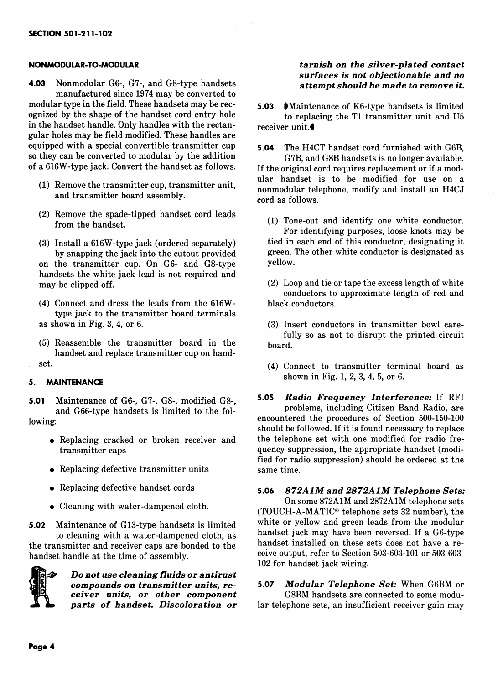**4.03** Nonmodular G6-, G7-, and G8-type handsets **attempt should be made to remove it.** manufactured since 1974 may be converted to<br>modular type in the field. These handsets may be recmodular type in the field. These handsets may be rec-<br>**5.03** Maintenance of K6-type handsets is limited<br>to replacing the T1 transmitter unit and U5 in the handset handle. Only handles with the rectangular holes may be field modified. These handles are equ**i**pped with a special convertible transmitter cup **5**.**04** The H4CT handset cord furnished with G6B*,*

- 
- (2) Remove the spade-tipped handset cord leads
- by snapping the jack into the cutout provided green.  $\frac{1}{2}$ <br>the transmitter cup On G6- and G8-type vellow. on the transmitter cup. On G6- and G8-type handsets the white jack lead is not required and
- $(4)$  Connect and dress the leads from the 616Wtype jack to the transmitter board terminals as shown in Fig. 3, 4, or 6. (3) Insert conductors in transmitter bowl care-
- $(5)$  Reassemble the transmitter board in the handset and replace transmitter cup on hand-

### **5. MAINTENANCE**

- 
- e Replacing defective transmitter units same time.
- 
- 

the transmitter and receiver caps are bonded to the handset installed on these sets does not have a re-<br>handset handle at the time of assembly handset handle at the time of assembly.



Do not use cleaning fluids or antirust *compounds on tr***a***nsmitter units, re***- 5.07** *Modul***a***r Telephone Set:* W**he***n* **G6**B**M or**  $c$ *eiver units, or other component*  $parts$  *of handset. Discoloration or* 

## **NONMODULAR-TO-MODULAR** *tarnish on* t*he silver***-***plated contact surf***ace***s is not ob*j**e***ction***a***ble* **a***nd no*

to replacing the T1 transmitter unit and U5 receiver unit.<sup>4</sup>

so they can be converted to modular by the addition G7B, and G8B handsets is no longer available.<br>The original cord requires replacement or if a mod-If the original cord requires replacement or if a modular handset is to be modified for use on a (1) Remove the transmitter cup, transmitter unit,<br>and transmitter board assembly.<br> $\frac{1}{2}$  nonmodular telephone, modify and install an H4CJ cord as follows.

- $f(1)$  Tone-out and identify one white conductor. For identifying purposes, loose knots may be tied in each end of this conductor, designating it (3) Install a 616W-type jack (ordered separately) tied in each end of this conductor, designating it<br>hy snapping the jack into the cutout provided green. The other white conductor is designated as
	- $(2)$  Loop and tie or tape the excess length of white conductors to approximate length of red and
	- fully so as not to disrupt the printed circuit
- set.<br>
(4) Connect to transmitter terminal board as<br>
shown in Fig. 1, 2, 3, 4, 5, or 6.

**5**.**01** Maintenance **o**f G6-, G7-, G8-, modified G8-, **5**.**05** *R***a***dio Fr***e***quency In*t**e***r*f*erence:* If RFI and G66-type handsets is limited to the fol-<br>encountered the procedures of Section 500-150-100 lowing:<br>should be followed. If it is found necessary to replace • Replacing cracked or broken receiver and the telephone set with one modified for radio fre-<br>transmitter caps quency suppression, the appropriate handset (modiquency suppression, the appropriate handset (modified for radio suppression) should be ordered at the

# e Replacing defective handset cords **5**.**06** *8*7*2AIM* **a***nd 28*7*2AIM Tel***e***phon***e** *S***e***ts:*

• Cleaning with water-dampened cloth. (TOUCH-A-MATIC® telephone sets 32 number), th **5.02** Maintenance of G13-type handsets is limited white or yellow and green leads from the modular to cleaning with a water-dampened cloth as handset jack may have been reversed. If a G6-type to cleaning with a water-dampened cloth, as handset jack may have been reversed. It a G6-type<br>nremitter and receiver cans are bonded to the handset installed on these sets does not have a re-102 for handset jack wiring.

 $\alpha$ <sup>*n*</sup> *o lartelephone sets, an insufficient receiver gain may*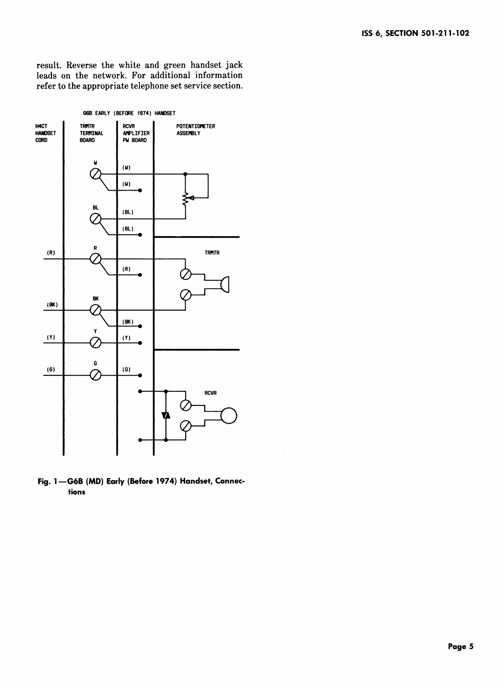result. Reverse the white and green handset jack leads on the network. For additional information refer to the appropriate telephone set service section.



**Fig**. **1--G6B (MD)** E**arly (Before1974) Handset**, **Connectio**n**s**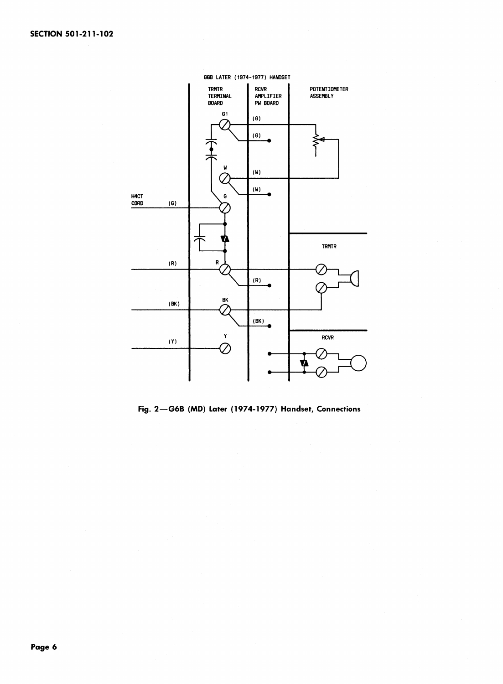

**Fig. 2**--**G6B** (**MD) Later** (**19**7**4-1977) Handset, Connections**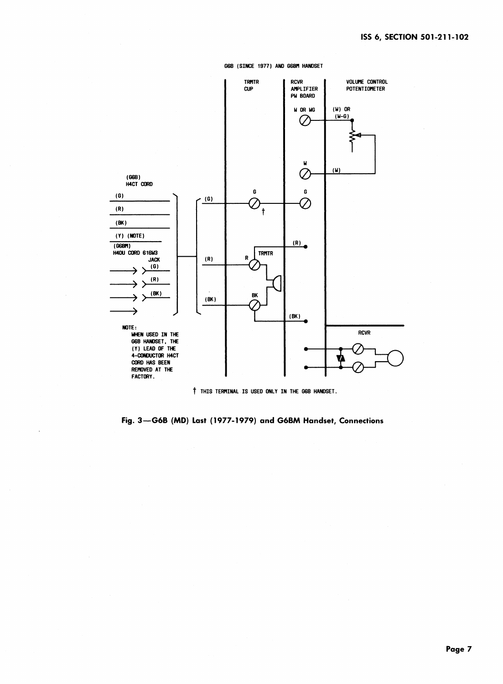



t **TH**I**S TERR**I**NAL**I**S USEDONLY**I**N THE G6B**HA**NDSET.**

**Fig. 3--G6B** (**MD) Last** (**1977**-**1979) and G6BM Handset, Connections**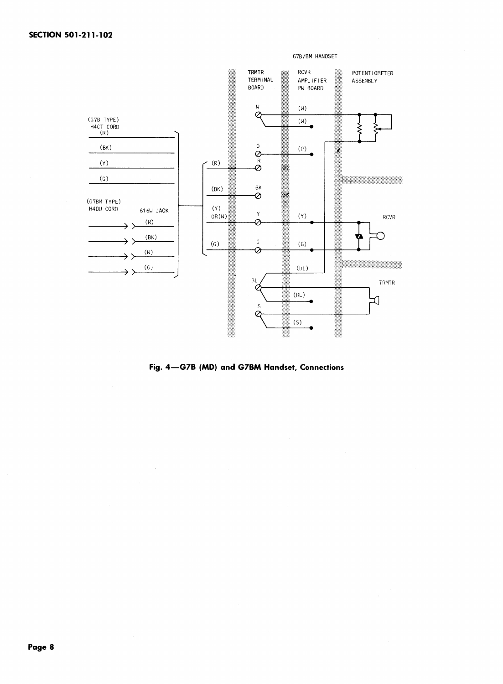

Fig. 4-G7B (MD) and G7BM Handset, Connections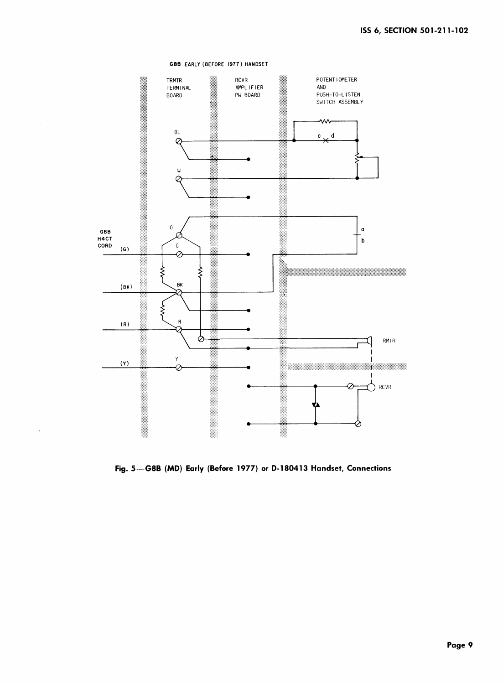### G8B EARLY (BEFORE 1977) HANDSET



Fig. 5-G8B (MD) Early (Before 1977) or D-180413 Handset, Connections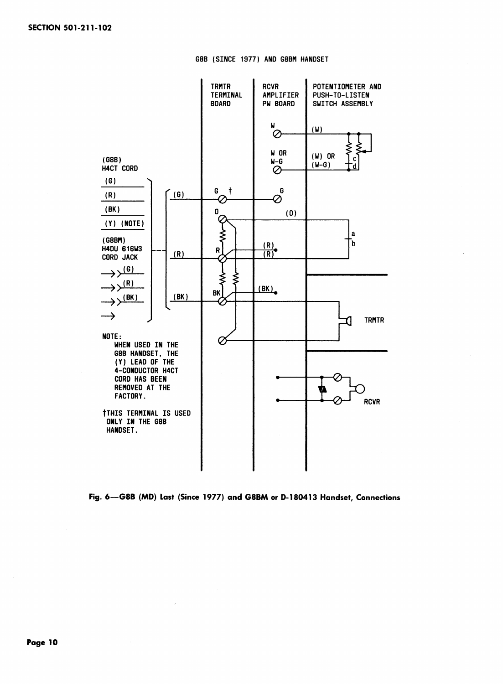



Fig. 6-G8B (MD) Last (Since 1977) and G8BM or D-180413 Handset, Connections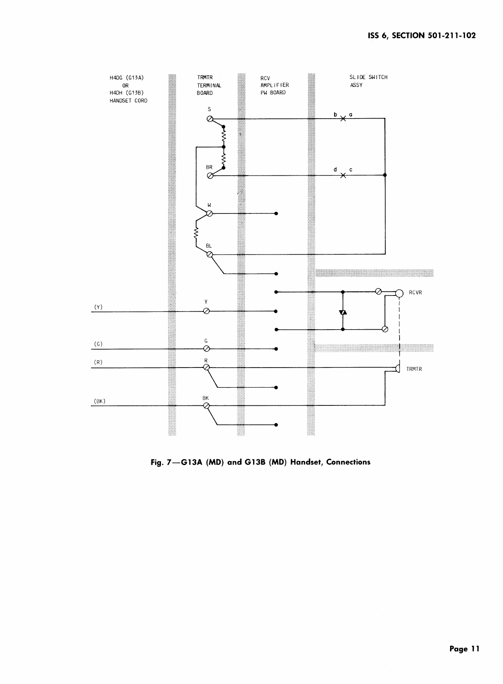

Fig. 7-G13A (MD) and G13B (MD) Handset, Connections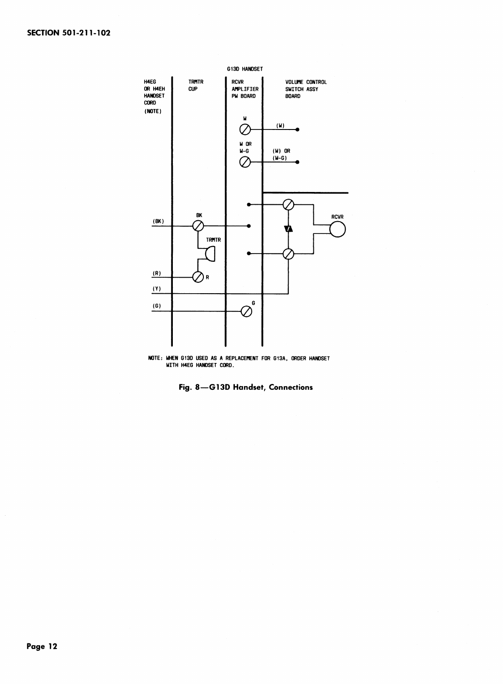



**Fig. 8**n**G13D Handset, Connections**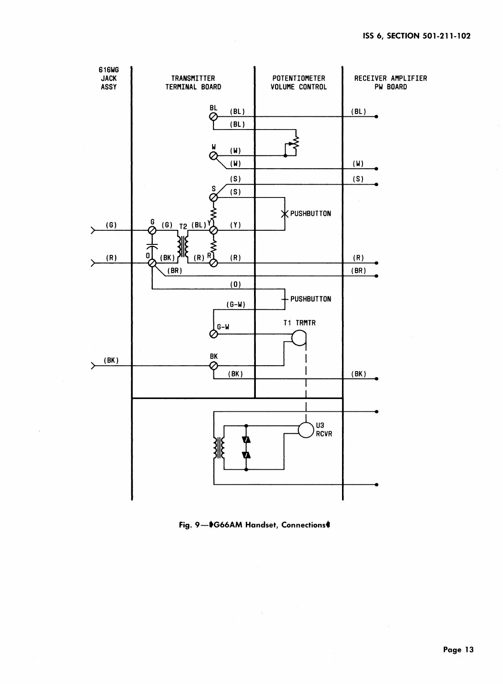

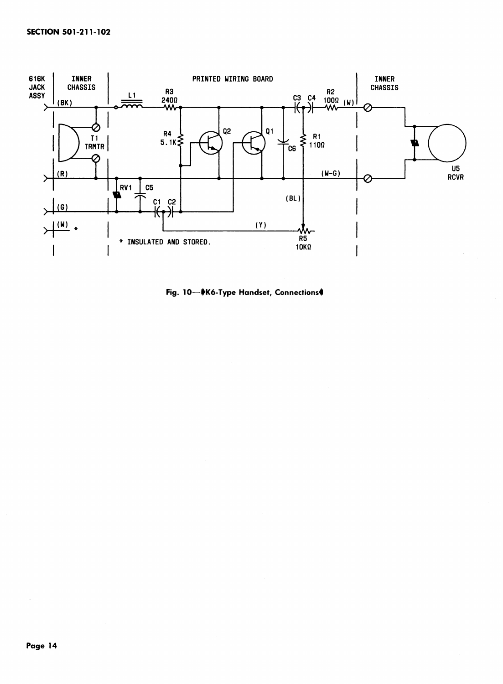

Fig. 10-VK6-Type Handset, Connections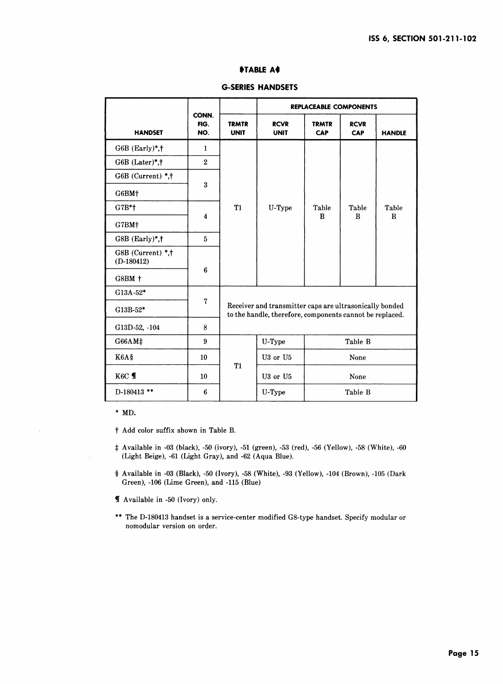### I\_**TA**BLE **A\_**I

|                                   |                      |                                                                                                                     | <b>REPLACEABLE COMPONENTS</b> |                     |                    |               |  |
|-----------------------------------|----------------------|---------------------------------------------------------------------------------------------------------------------|-------------------------------|---------------------|--------------------|---------------|--|
| <b>HANDSET</b>                    | CONN.<br>FIG.<br>NO. | <b>TRMTR</b><br><b>UNIT</b>                                                                                         | <b>RCVR</b><br><b>UNIT</b>    | <b>TRMTR</b><br>CAP | <b>RCVR</b><br>CAP | <b>HANDLE</b> |  |
| $G6B$ (Early)*,†                  | $\mathbf{1}$         |                                                                                                                     |                               |                     |                    |               |  |
| G6B (Later)*,†                    | $\overline{2}$       |                                                                                                                     |                               |                     |                    |               |  |
| G6B (Current) *.†                 |                      |                                                                                                                     |                               |                     |                    |               |  |
| G6BM+                             | 3                    | <b>T1</b>                                                                                                           | U-Type                        | Table<br>B          | Table<br>B         | Table<br>B    |  |
| G7B*+                             |                      |                                                                                                                     |                               |                     |                    |               |  |
| G7BM+                             | $\overline{\bf{4}}$  |                                                                                                                     |                               |                     |                    |               |  |
| $G8B$ (Early)*, $\dagger$         | 5                    |                                                                                                                     |                               |                     |                    |               |  |
| G8B (Current) *,†<br>$(D-180412)$ |                      |                                                                                                                     |                               |                     |                    |               |  |
| G8BM +                            | 6                    |                                                                                                                     |                               |                     |                    |               |  |
| G13A-52*                          |                      |                                                                                                                     |                               |                     |                    |               |  |
| G13B-52*                          | 7                    | Receiver and transmitter caps are ultrasonically bonded<br>to the handle, therefore, components cannot be replaced. |                               |                     |                    |               |  |
| G13D-52, -104                     | 8                    |                                                                                                                     |                               |                     |                    |               |  |
| G66AM#                            | 9                    |                                                                                                                     | U-Type                        | Table B             |                    |               |  |
| K6A§                              | 10                   | <b>T1</b>                                                                                                           | U3 or U5                      | None                |                    |               |  |
| K6C T                             | 10                   |                                                                                                                     | U3 or U5<br>None              |                     |                    |               |  |
| D-180413 **                       | 6                    |                                                                                                                     | U-Type                        | Table B             |                    |               |  |

### G**-**SE**R**I**E**S H**AN**DSETS

\* MD.

t Add color suffix shown in Table B.

- Available in -03 (black)*,* -50 (ivory)*,* -51 (green)*,* -53 (red)*,* -56 (Yellow), **-**58 (White)*,*-60 (Light Beige)*,* -61 (Light Gray)*,* and -62 (Aqua Blue).
- § Available in -03 (Black)*,* -50 (Ivory), -58 (White)*,* -93 (Yellow)*,* -104 (Brown)*,* **-**105 (Dark Green)*,* -106 (Lime Green)*,* and -115 (Blue)
- ¶ Available in -50 (Ivory) only.
- \*\* The D-180413 handset is a service-center modified G8**-**type handset. Specify modular or nomodular version on order.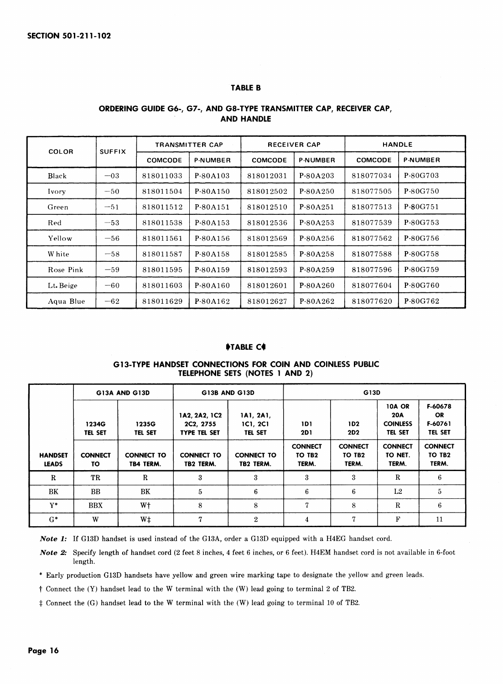### **TABLE B**

| COLOR     | <b>SUFFIX</b> | <b>TRANSMITTER CAP</b> |                 | <b>RECEIVER CAP</b> |                 | <b>HANDLE</b>  |                 |
|-----------|---------------|------------------------|-----------------|---------------------|-----------------|----------------|-----------------|
|           |               | COMCODE                | <b>P-NUMBER</b> | COMCODE             | <b>P-NUMBER</b> | <b>COMCODE</b> | <b>P-NUMBER</b> |
| Black     | $-03$         | 818011033              | P-80A103        | 818012031           | P-80A203        | 818077034      | P-80G703        |
| Ivory     | $-50$         | 818011504              | P-80A150        | 818012502           | P-80A250        | 818077505      | P-80G750        |
| Green     | $-51$         | 818011512              | P-80A151        | 818012510           | P-80A251        | 818077513      | P-80G751        |
| Red       | $-53$         | 818011538              | P-80A153        | 818012536           | P-80A253        | 818077539      | P-80G753        |
| Yellow    | $-56$         | 818011561              | P-80A156        | 818012569           | P-80A256        | 818077562      | P-80G756        |
| W hite    | $-58$         | 818011587              | P-80A158        | 818012585           | P-80A258        | 818077588      | P-80G758        |
| Rose Pink | $-59$         | 818011595              | P-80A159        | 818012593           | P-80A259        | 818077596      | P-80G759        |
| Lt. Beige | $-60$         | 818011603              | P-80A160        | 818012601           | P-80A260        | 818077604      | P-80G760        |
| Aqua Blue | $-62$         | 818011629              | P-80A162        | 818012627           | P-80A262        | 818077620      | P-80G762        |

### **ORDERING GUIDE G6-, G7-, AND G8-TYPE TRANSMITTER CAP, RECEIVER CAP, AND HANDLE**

### **IFTABLE Ce**

### **G13-TYPE HANDSET CONNECTIONS FOR COIN AND COINLESS PUBLIC TELEPHONE SETS (NOTES 1 AND 2)**

|                                | G13A AND G13D           |                                | G13B AND G13D                                     |                                  | G13D                                          |                                               |                                                                  |                                            |
|--------------------------------|-------------------------|--------------------------------|---------------------------------------------------|----------------------------------|-----------------------------------------------|-----------------------------------------------|------------------------------------------------------------------|--------------------------------------------|
|                                | 1234G<br><b>TEL SET</b> | 1235G<br><b>TEL SET</b>        | 1A2, 2A2, 1C2<br>2C2. 2755<br><b>TYPE TEL SET</b> | 1A1, 2A1,<br>1C1, 2C1<br>TEL SET | 1D1<br>2D1                                    | 1D2<br><b>2D2</b>                             | <b>10A OR</b><br><b>20A</b><br><b>COINLESS</b><br><b>TEL SET</b> | F-60678<br>OR<br>F-60761<br><b>TEL SET</b> |
| <b>HANDSET</b><br><b>LEADS</b> | <b>CONNECT</b><br>τо    | <b>CONNECT TO</b><br>TB4 TERM. | <b>CONNECT TO</b><br>TB2 TERM.                    | <b>CONNECT TO</b><br>TB2 TERM.   | <b>CONNECT</b><br>TO TB <sub>2</sub><br>TERM. | <b>CONNECT</b><br>TO TB <sub>2</sub><br>TERM. | <b>CONNECT</b><br>TO NET.<br>TERM.                               | <b>CONNECT</b><br><b>TO 1B2</b><br>TERM.   |
| $\mathbb R$                    | TR                      | R                              | 3                                                 | 3                                | 3                                             | 3                                             | R                                                                | 6                                          |
| BK                             | BB.                     | BK                             | 5                                                 | 6                                | 6                                             | 6                                             | L2                                                               | 5                                          |
| $Y^*$                          | <b>BBX</b>              | W <sup>+</sup>                 | 8                                                 | 8                                | 7                                             | 8                                             | $\mathbf R$                                                      | 6                                          |
| $G^*$                          | W                       | W‡                             | 7                                                 | $\mathbf{2}$                     | 4                                             | 7                                             | F                                                                | 11                                         |

*Not***e** *1:* If G13D handset is used instead of the G13A*,* order a G13D equipped with a H4EG handset cord.

*Not***e** *2:* Specify length of handset cord (2 feet 8 inches, 4 feet 6 inches*,* or 6 feet). H4EM handset cord is not available in 6-foot length.

*\** Early production G13D handsets have yellow and green wire marking tape to designate the yellow and green leads.

t Connect the (Y) handset lead to the W terminal with the (W) lead going to terminal 2 of TB2.

Connect the (G) handset lead to the W terminal with the (W) lead going to terminal 10 of TB2.